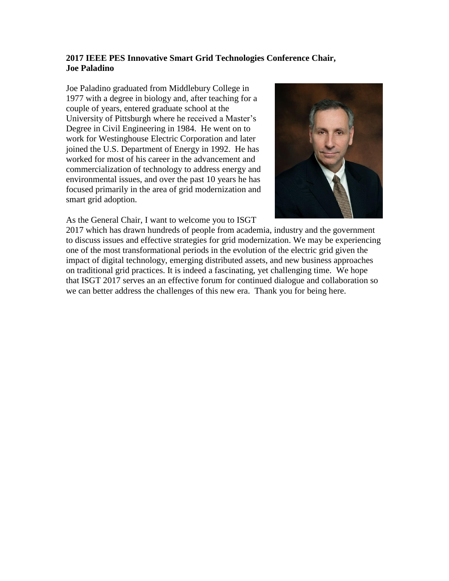## **2017 IEEE PES Innovative Smart Grid Technologies Conference Chair, Joe Paladino**

Joe Paladino graduated from Middlebury College in 1977 with a degree in biology and, after teaching for a couple of years, entered graduate school at the University of Pittsburgh where he received a Master's Degree in Civil Engineering in 1984. He went on to work for Westinghouse Electric Corporation and later joined the U.S. Department of Energy in 1992. He has worked for most of his career in the advancement and commercialization of technology to address energy and environmental issues, and over the past 10 years he has focused primarily in the area of grid modernization and smart grid adoption.





2017 which has drawn hundreds of people from academia, industry and the government to discuss issues and effective strategies for grid modernization. We may be experiencing one of the most transformational periods in the evolution of the electric grid given the impact of digital technology, emerging distributed assets, and new business approaches on traditional grid practices. It is indeed a fascinating, yet challenging time. We hope that ISGT 2017 serves an an effective forum for continued dialogue and collaboration so we can better address the challenges of this new era. Thank you for being here.